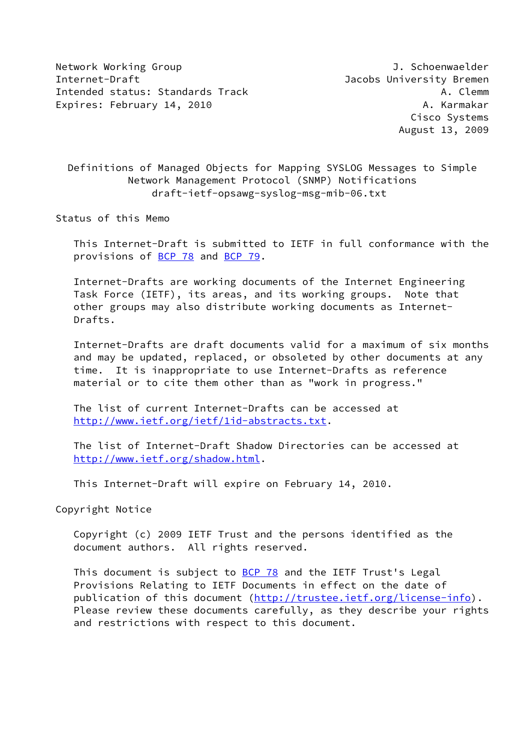Network Working Group and the state of the state of the J. Schoenwaelder Internet-Draft Jacobs University Bremen Intended status: Standards Track A. Clemm Expires: February 14, 2010 **A. Karmakar** 

 Cisco Systems August 13, 2009

## Definitions of Managed Objects for Mapping SYSLOG Messages to Simple Network Management Protocol (SNMP) Notifications draft-ietf-opsawg-syslog-msg-mib-06.txt

Status of this Memo

 This Internet-Draft is submitted to IETF in full conformance with the provisions of [BCP 78](https://datatracker.ietf.org/doc/pdf/bcp78) and [BCP 79](https://datatracker.ietf.org/doc/pdf/bcp79).

 Internet-Drafts are working documents of the Internet Engineering Task Force (IETF), its areas, and its working groups. Note that other groups may also distribute working documents as Internet- Drafts.

 Internet-Drafts are draft documents valid for a maximum of six months and may be updated, replaced, or obsoleted by other documents at any time. It is inappropriate to use Internet-Drafts as reference material or to cite them other than as "work in progress."

 The list of current Internet-Drafts can be accessed at <http://www.ietf.org/ietf/1id-abstracts.txt>.

 The list of Internet-Draft Shadow Directories can be accessed at <http://www.ietf.org/shadow.html>.

This Internet-Draft will expire on February 14, 2010.

Copyright Notice

 Copyright (c) 2009 IETF Trust and the persons identified as the document authors. All rights reserved.

This document is subject to [BCP 78](https://datatracker.ietf.org/doc/pdf/bcp78) and the IETF Trust's Legal Provisions Relating to IETF Documents in effect on the date of publication of this document [\(http://trustee.ietf.org/license-info](http://trustee.ietf.org/license-info)). Please review these documents carefully, as they describe your rights and restrictions with respect to this document.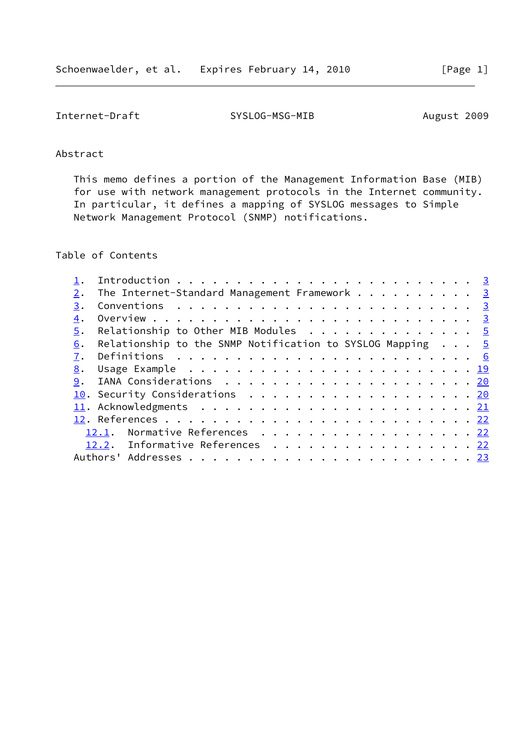Internet-Draft SYSLOG-MSG-MIB August 2009

## Abstract

 This memo defines a portion of the Management Information Base (MIB) for use with network management protocols in the Internet community. In particular, it defines a mapping of SYSLOG messages to Simple Network Management Protocol (SNMP) notifications.

# Table of Contents

| 2. | The Internet-Standard Management Framework 3                       |  |
|----|--------------------------------------------------------------------|--|
| 3. |                                                                    |  |
| 4. |                                                                    |  |
| 5. | Relationship to Other MIB Modules 5                                |  |
| 6. | Relationship to the SNMP Notification to SYSLOG Mapping $\ldots$ 5 |  |
| 7. |                                                                    |  |
| 8. |                                                                    |  |
| 9. |                                                                    |  |
|    | 10. Security Considerations 20                                     |  |
|    |                                                                    |  |
|    |                                                                    |  |
|    | Normative References 22<br>12.1.                                   |  |
|    | 12.2. Informative References 22                                    |  |
|    |                                                                    |  |
|    |                                                                    |  |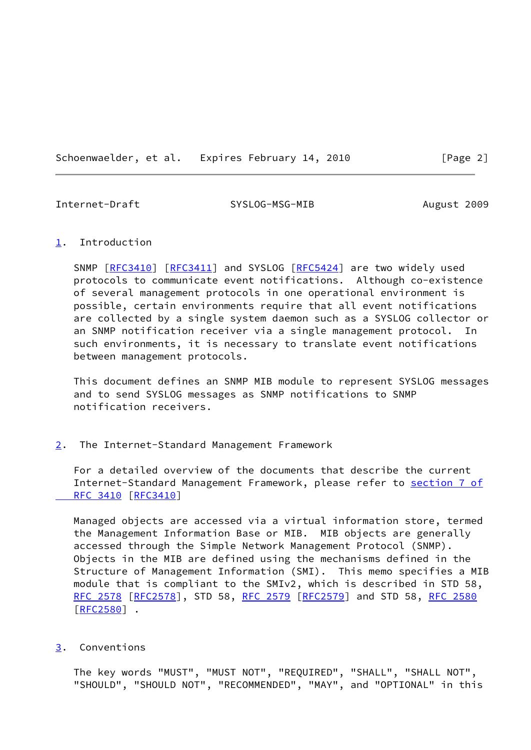Schoenwaelder, et al. Expires February 14, 2010 [Page 2]

<span id="page-2-1"></span>Internet-Draft SYSLOG-MSG-MIB August 2009

#### <span id="page-2-0"></span>[1](#page-2-0). Introduction

SNMP [\[RFC3410](https://datatracker.ietf.org/doc/pdf/rfc3410)] [\[RFC3411](https://datatracker.ietf.org/doc/pdf/rfc3411)] and SYSLOG [\[RFC5424](https://datatracker.ietf.org/doc/pdf/rfc5424)] are two widely used protocols to communicate event notifications. Although co-existence of several management protocols in one operational environment is possible, certain environments require that all event notifications are collected by a single system daemon such as a SYSLOG collector or an SNMP notification receiver via a single management protocol. In such environments, it is necessary to translate event notifications between management protocols.

 This document defines an SNMP MIB module to represent SYSLOG messages and to send SYSLOG messages as SNMP notifications to SNMP notification receivers.

#### <span id="page-2-2"></span>[2](#page-2-2). The Internet-Standard Management Framework

 For a detailed overview of the documents that describe the current Internet-Standard Management Framework, please refer to [section](https://datatracker.ietf.org/doc/pdf/rfc3410#section-7) 7 of  [RFC 3410](https://datatracker.ietf.org/doc/pdf/rfc3410#section-7) [\[RFC3410](https://datatracker.ietf.org/doc/pdf/rfc3410)]

 Managed objects are accessed via a virtual information store, termed the Management Information Base or MIB. MIB objects are generally accessed through the Simple Network Management Protocol (SNMP). Objects in the MIB are defined using the mechanisms defined in the Structure of Management Information (SMI). This memo specifies a MIB module that is compliant to the SMIv2, which is described in STD 58, [RFC 2578](https://datatracker.ietf.org/doc/pdf/rfc2578) [\[RFC2578](https://datatracker.ietf.org/doc/pdf/rfc2578)], STD 58, [RFC 2579 \[RFC2579](https://datatracker.ietf.org/doc/pdf/rfc2579)] and STD 58, [RFC 2580](https://datatracker.ietf.org/doc/pdf/rfc2580) [\[RFC2580](https://datatracker.ietf.org/doc/pdf/rfc2580)] .

#### <span id="page-2-3"></span>[3](#page-2-3). Conventions

 The key words "MUST", "MUST NOT", "REQUIRED", "SHALL", "SHALL NOT", "SHOULD", "SHOULD NOT", "RECOMMENDED", "MAY", and "OPTIONAL" in this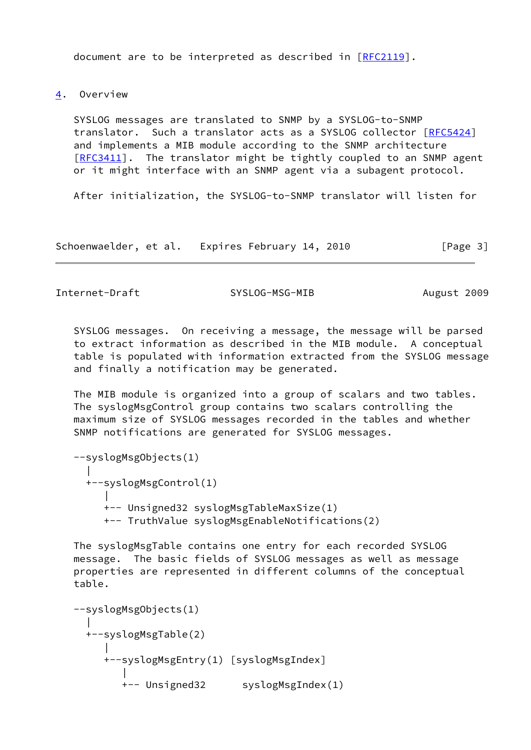document are to be interpreted as described in [\[RFC2119](https://datatracker.ietf.org/doc/pdf/rfc2119)].

<span id="page-3-0"></span>[4](#page-3-0). Overview

 SYSLOG messages are translated to SNMP by a SYSLOG-to-SNMP translator. Such a translator acts as a SYSLOG collector [[RFC5424](https://datatracker.ietf.org/doc/pdf/rfc5424)] and implements a MIB module according to the SNMP architecture [\[RFC3411](https://datatracker.ietf.org/doc/pdf/rfc3411)]. The translator might be tightly coupled to an SNMP agent or it might interface with an SNMP agent via a subagent protocol.

After initialization, the SYSLOG-to-SNMP translator will listen for

Schoenwaelder, et al. Expires February 14, 2010 [Page 3]

Internet-Draft SYSLOG-MSG-MIB August 2009

 SYSLOG messages. On receiving a message, the message will be parsed to extract information as described in the MIB module. A conceptual table is populated with information extracted from the SYSLOG message and finally a notification may be generated.

 The MIB module is organized into a group of scalars and two tables. The syslogMsgControl group contains two scalars controlling the maximum size of SYSLOG messages recorded in the tables and whether SNMP notifications are generated for SYSLOG messages.

```
 --syslogMsgObjects(1)
|| || || || || ||
      +--syslogMsgControl(1)
 |
         +-- Unsigned32 syslogMsgTableMaxSize(1)
         +-- TruthValue syslogMsgEnableNotifications(2)
```
 The syslogMsgTable contains one entry for each recorded SYSLOG message. The basic fields of SYSLOG messages as well as message properties are represented in different columns of the conceptual table.

```
 --syslogMsgObjects(1)
|| || || || || ||
     +--syslogMsgTable(2)
 |
        +--syslogMsgEntry(1) [syslogMsgIndex]
 |
           +-- Unsigned32 syslogMsgIndex(1)
```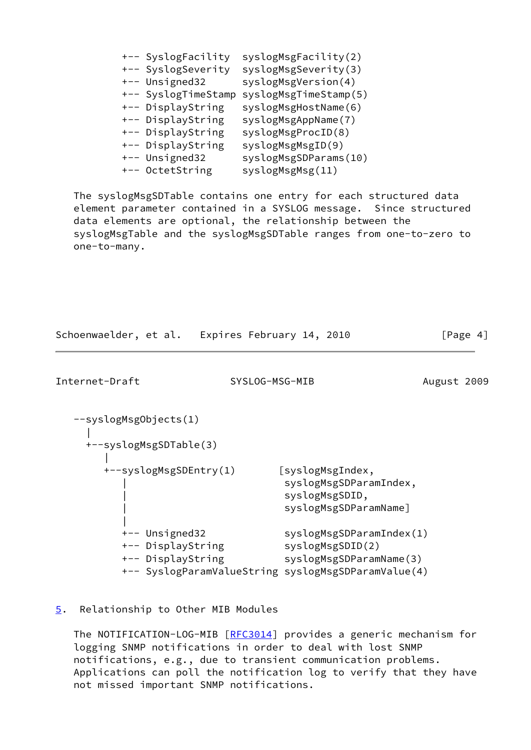| +-- SyslogFacility  | syslogMsgFacility(2)  |
|---------------------|-----------------------|
| +-- SyslogSeverity  | syslogMsgSeverity(3)  |
| +-- Unsigned32      | syslogMsgVersion(4)   |
| +-- SyslogTimeStamp | syslogMsgTimeStamp(5) |
| +-- DisplayString   | syslogMsgHostName(6)  |
| +-- DisplayString   | syslogMsgAppName(7)   |
| +-- DisplayString   | syslogMsgProcID(8)    |
| +-- DisplayString   | syslogMsgMsgID(9)     |
| +-- Unsigned32      | syslogMsgSDParams(10) |
| +-- OctetString     | syslogMsgMsg(11)      |

 The syslogMsgSDTable contains one entry for each structured data element parameter contained in a SYSLOG message. Since structured data elements are optional, the relationship between the syslogMsgTable and the syslogMsgSDTable ranges from one-to-zero to one-to-many.

<span id="page-4-1"></span>

| Schoenwaelder, et al. Expires February 14, 2010          |                                                                                                                                | [Page 4]    |
|----------------------------------------------------------|--------------------------------------------------------------------------------------------------------------------------------|-------------|
| Internet-Draft                                           | SYSLOG-MSG-MIB                                                                                                                 | August 2009 |
| --syslogMsgObjects(1)<br>+--syslogMsgSDTable(3)          |                                                                                                                                |             |
| +--syslogMsgSDEntry(1)                                   | [syslogMsgIndex,<br>syslogMsgSDParamIndex,<br>syslogMsgSDID,<br>syslogMsgSDParamName]                                          |             |
| +-- Unsigned32<br>+-- DisplayString<br>+-- DisplayString | syslogMsgSDParamIndex(1)<br>syslogMsgSDID(2)<br>syslogMsgSDParamName(3)<br>+-- SyslogParamValueString syslogMsgSDParamValue(4) |             |

#### <span id="page-4-0"></span>[5](#page-4-0). Relationship to Other MIB Modules

The NOTIFICATION-LOG-MIB [\[RFC3014](https://datatracker.ietf.org/doc/pdf/rfc3014)] provides a generic mechanism for logging SNMP notifications in order to deal with lost SNMP notifications, e.g., due to transient communication problems. Applications can poll the notification log to verify that they have not missed important SNMP notifications.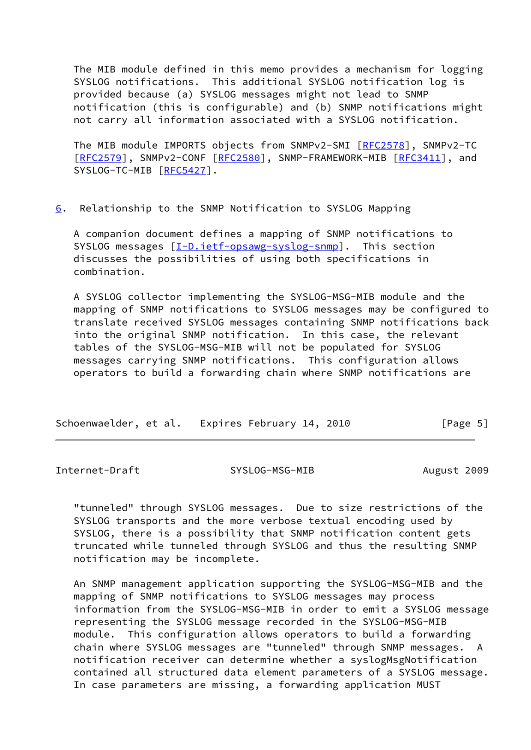The MIB module defined in this memo provides a mechanism for logging SYSLOG notifications. This additional SYSLOG notification log is provided because (a) SYSLOG messages might not lead to SNMP notification (this is configurable) and (b) SNMP notifications might not carry all information associated with a SYSLOG notification.

 The MIB module IMPORTS objects from SNMPv2-SMI [\[RFC2578](https://datatracker.ietf.org/doc/pdf/rfc2578)], SNMPv2-TC [\[RFC2579](https://datatracker.ietf.org/doc/pdf/rfc2579)], SNMPv2-CONF [\[RFC2580](https://datatracker.ietf.org/doc/pdf/rfc2580)], SNMP-FRAMEWORK-MIB [\[RFC3411](https://datatracker.ietf.org/doc/pdf/rfc3411)], and SYSLOG-TC-MIB [[RFC5427](https://datatracker.ietf.org/doc/pdf/rfc5427)].

<span id="page-5-0"></span>[6](#page-5-0). Relationship to the SNMP Notification to SYSLOG Mapping

 A companion document defines a mapping of SNMP notifications to SYSLOG messages [\[I-D.ietf-opsawg-syslog-snmp](#page-23-4)]. This section discusses the possibilities of using both specifications in combination.

 A SYSLOG collector implementing the SYSLOG-MSG-MIB module and the mapping of SNMP notifications to SYSLOG messages may be configured to translate received SYSLOG messages containing SNMP notifications back into the original SNMP notification. In this case, the relevant tables of the SYSLOG-MSG-MIB will not be populated for SYSLOG messages carrying SNMP notifications. This configuration allows operators to build a forwarding chain where SNMP notifications are

| Schoenwaelder, et al. Expires February 14, 2010 |  |  |  |  |  | [Page 5] |
|-------------------------------------------------|--|--|--|--|--|----------|
|-------------------------------------------------|--|--|--|--|--|----------|

<span id="page-5-1"></span>Internet-Draft SYSLOG-MSG-MIB August 2009

 "tunneled" through SYSLOG messages. Due to size restrictions of the SYSLOG transports and the more verbose textual encoding used by SYSLOG, there is a possibility that SNMP notification content gets truncated while tunneled through SYSLOG and thus the resulting SNMP notification may be incomplete.

 An SNMP management application supporting the SYSLOG-MSG-MIB and the mapping of SNMP notifications to SYSLOG messages may process information from the SYSLOG-MSG-MIB in order to emit a SYSLOG message representing the SYSLOG message recorded in the SYSLOG-MSG-MIB module. This configuration allows operators to build a forwarding chain where SYSLOG messages are "tunneled" through SNMP messages. A notification receiver can determine whether a syslogMsgNotification contained all structured data element parameters of a SYSLOG message. In case parameters are missing, a forwarding application MUST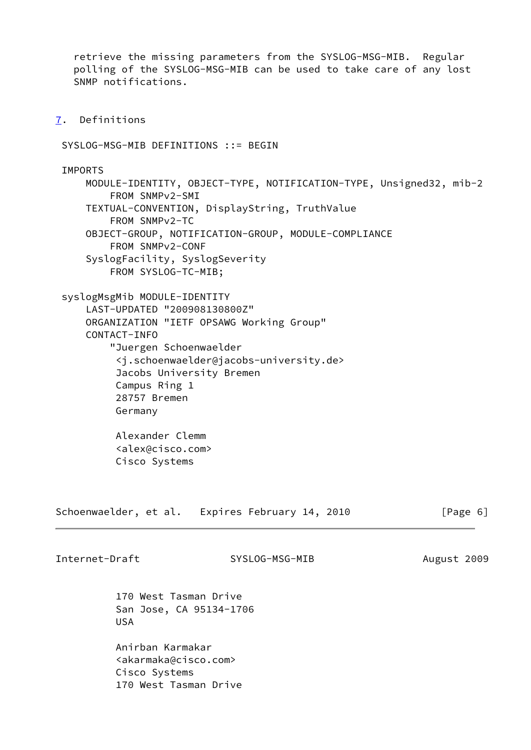retrieve the missing parameters from the SYSLOG-MSG-MIB. Regular polling of the SYSLOG-MSG-MIB can be used to take care of any lost SNMP notifications.

<span id="page-6-0"></span>[7](#page-6-0). Definitions

SYSLOG-MSG-MIB DEFINITIONS ::= BEGIN

**TMPORTS**  MODULE-IDENTITY, OBJECT-TYPE, NOTIFICATION-TYPE, Unsigned32, mib-2 FROM SNMPv2-SMI TEXTUAL-CONVENTION, DisplayString, TruthValue FROM SNMPv2-TC OBJECT-GROUP, NOTIFICATION-GROUP, MODULE-COMPLIANCE FROM SNMPv2-CONF SyslogFacility, SyslogSeverity FROM SYSLOG-TC-MIB; syslogMsgMib MODULE-IDENTITY LAST-UPDATED "200908130800Z" ORGANIZATION "IETF OPSAWG Working Group"

CONTACT-INFO

 "Juergen Schoenwaelder <j.schoenwaelder@jacobs-university.de> Jacobs University Bremen Campus Ring 1 28757 Bremen Germany

 Alexander Clemm <alex@cisco.com> Cisco Systems

Schoenwaelder, et al. Expires February 14, 2010 [Page 6]

Internet-Draft SYSLOG-MSG-MIB August 2009

 170 West Tasman Drive San Jose, CA 95134-1706 USA

 Anirban Karmakar <akarmaka@cisco.com> Cisco Systems 170 West Tasman Drive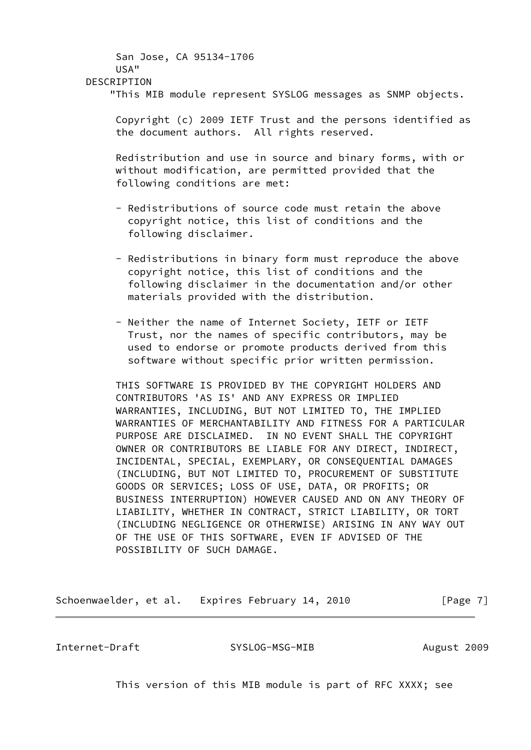# San Jose, CA 95134-1706 USA" DESCRIPTION "This MIB module represent SYSLOG messages as SNMP objects.

 Copyright (c) 2009 IETF Trust and the persons identified as the document authors. All rights reserved.

 Redistribution and use in source and binary forms, with or without modification, are permitted provided that the following conditions are met:

- Redistributions of source code must retain the above copyright notice, this list of conditions and the following disclaimer.
- Redistributions in binary form must reproduce the above copyright notice, this list of conditions and the following disclaimer in the documentation and/or other materials provided with the distribution.
- Neither the name of Internet Society, IETF or IETF Trust, nor the names of specific contributors, may be used to endorse or promote products derived from this software without specific prior written permission.

 THIS SOFTWARE IS PROVIDED BY THE COPYRIGHT HOLDERS AND CONTRIBUTORS 'AS IS' AND ANY EXPRESS OR IMPLIED WARRANTIES, INCLUDING, BUT NOT LIMITED TO, THE IMPLIED WARRANTIES OF MERCHANTABILITY AND FITNESS FOR A PARTICULAR PURPOSE ARE DISCLAIMED. IN NO EVENT SHALL THE COPYRIGHT OWNER OR CONTRIBUTORS BE LIABLE FOR ANY DIRECT, INDIRECT, INCIDENTAL, SPECIAL, EXEMPLARY, OR CONSEQUENTIAL DAMAGES (INCLUDING, BUT NOT LIMITED TO, PROCUREMENT OF SUBSTITUTE GOODS OR SERVICES; LOSS OF USE, DATA, OR PROFITS; OR BUSINESS INTERRUPTION) HOWEVER CAUSED AND ON ANY THEORY OF LIABILITY, WHETHER IN CONTRACT, STRICT LIABILITY, OR TORT (INCLUDING NEGLIGENCE OR OTHERWISE) ARISING IN ANY WAY OUT OF THE USE OF THIS SOFTWARE, EVEN IF ADVISED OF THE POSSIBILITY OF SUCH DAMAGE.

Schoenwaelder, et al. Expires February 14, 2010 [Page 7]

Internet-Draft SYSLOG-MSG-MIB August 2009

This version of this MIB module is part of RFC XXXX; see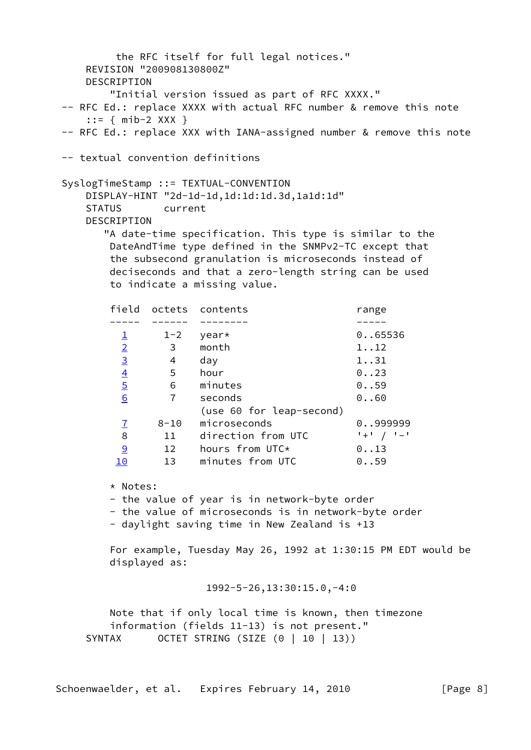```
 the RFC itself for full legal notices."
    REVISION "200908130800Z"
    DESCRIPTION
        "Initial version issued as part of RFC XXXX."
 -- RFC Ed.: replace XXXX with actual RFC number & remove this note
    ::= { mib-2 XXX }
 -- RFC Ed.: replace XXX with IANA-assigned number & remove this note
 -- textual convention definitions
 SyslogTimeStamp ::= TEXTUAL-CONVENTION
     DISPLAY-HINT "2d-1d-1d,1d:1d:1d.3d,1a1d:1d"
     STATUS current
    DESCRIPTION
       "A date-time specification. This type is similar to the
        DateAndTime type defined in the SNMPv2-TC except that
        the subsecond granulation is microseconds instead of
        deciseconds and that a zero-length string can be used
        to indicate a missing value.
       field octets contents mange
        ----- ------ -------- -----
        1 - 2 year* 0..65536
         2 3 month 1..12
3}{2} 4 day 1..31
4} 5 hour 0..23
         5 6 minutes 0..59
         6 7 seconds 0..60
                    (use 60 for leap-second)
         7 8-10 microseconds 0..999999
         8 11 direction from UTC '+' / '-'
         9 12 hours from UTC* 0..13
         10 13 minutes from UTC 0..59
        * Notes:
        - the value of year is in network-byte order
        - the value of microseconds is in network-byte order
        - daylight saving time in New Zealand is +13
        For example, Tuesday May 26, 1992 at 1:30:15 PM EDT would be
        displayed as:
```
1992-5-26,13:30:15.0,-4:0

 Note that if only local time is known, then timezone information (fields 11-13) is not present." SYNTAX OCTET STRING (SIZE (0 | 10 | 13))

Schoenwaelder, et al. Expires February 14, 2010 [Page 8]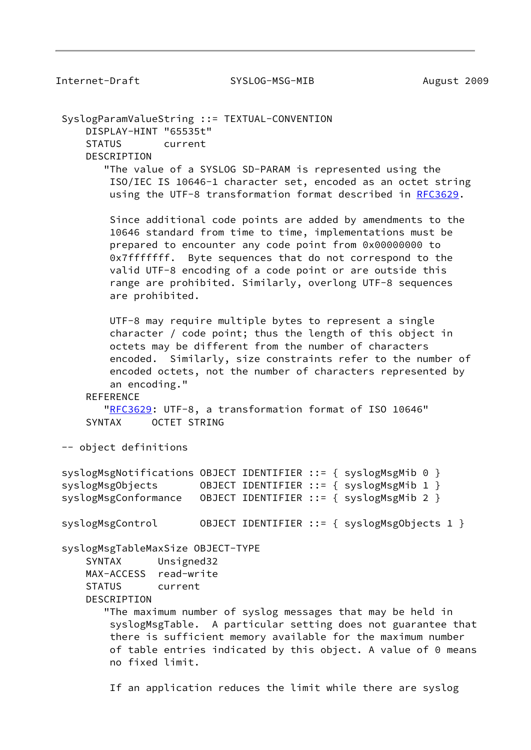Internet-Draft SYSLOG-MSG-MIB August 2009

 SyslogParamValueString ::= TEXTUAL-CONVENTION DISPLAY-HINT "65535t" STATUS current DESCRIPTION "The value of a SYSLOG SD-PARAM is represented using the ISO/IEC IS 10646-1 character set, encoded as an octet string using the UTF-8 transformation format described in [RFC3629](https://datatracker.ietf.org/doc/pdf/rfc3629). Since additional code points are added by amendments to the 10646 standard from time to time, implementations must be prepared to encounter any code point from 0x00000000 to 0x7fffffff. Byte sequences that do not correspond to the valid UTF-8 encoding of a code point or are outside this range are prohibited. Similarly, overlong UTF-8 sequences are prohibited. UTF-8 may require multiple bytes to represent a single character / code point; thus the length of this object in octets may be different from the number of characters encoded. Similarly, size constraints refer to the number of encoded octets, not the number of characters represented by an encoding." **REFERENCE**  ["RFC3629](https://datatracker.ietf.org/doc/pdf/rfc3629): UTF-8, a transformation format of ISO 10646" SYNTAX OCTET STRING -- object definitions syslogMsgNotifications OBJECT IDENTIFIER ::= { syslogMsgMib 0 } syslogMsgObjects OBJECT IDENTIFIER ::= { syslogMsgMib 1 } syslogMsgConformance OBJECT IDENTIFIER ::= { syslogMsgMib 2 } syslogMsgControl 0BJECT IDENTIFIER ::= { syslogMsgObjects 1 } syslogMsgTableMaxSize OBJECT-TYPE SYNTAX Unsigned32 MAX-ACCESS read-write STATUS current DESCRIPTION "The maximum number of syslog messages that may be held in syslogMsgTable. A particular setting does not guarantee that there is sufficient memory available for the maximum number of table entries indicated by this object. A value of 0 means no fixed limit.

If an application reduces the limit while there are syslog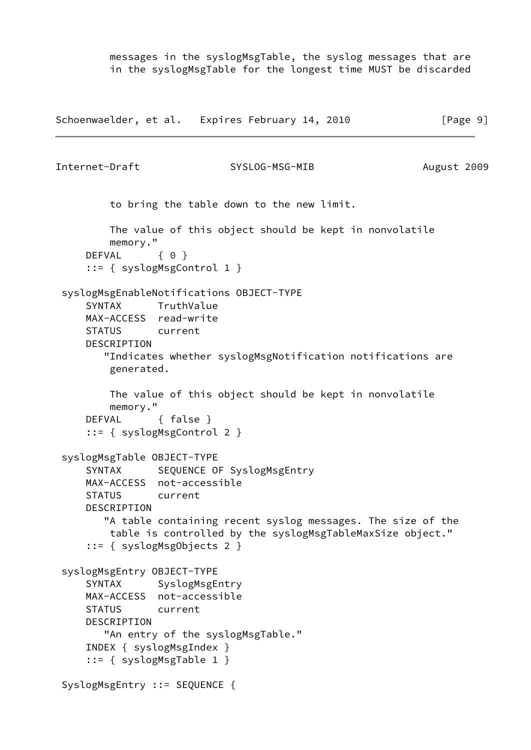messages in the syslogMsgTable, the syslog messages that are in the syslogMsgTable for the longest time MUST be discarded

```
Schoenwaelder, et al. Expires February 14, 2010 [Page 9]
Internet-Draft SYSLOG-MSG-MIB August 2009
         to bring the table down to the new limit.
         The value of this object should be kept in nonvolatile
         memory."
    DEFVAL { 0 }
     ::= { syslogMsgControl 1 }
 syslogMsgEnableNotifications OBJECT-TYPE
     SYNTAX TruthValue
     MAX-ACCESS read-write
     STATUS current
     DESCRIPTION
        "Indicates whether syslogMsgNotification notifications are
         generated.
         The value of this object should be kept in nonvolatile
         memory."
     DEFVAL { false }
     ::= { syslogMsgControl 2 }
 syslogMsgTable OBJECT-TYPE
    SYNTAX SEQUENCE OF SyslogMsgEntry
     MAX-ACCESS not-accessible
     STATUS current
     DESCRIPTION
        "A table containing recent syslog messages. The size of the
         table is controlled by the syslogMsgTableMaxSize object."
     ::= { syslogMsgObjects 2 }
 syslogMsgEntry OBJECT-TYPE
     SYNTAX SyslogMsgEntry
     MAX-ACCESS not-accessible
     STATUS current
     DESCRIPTION
       "An entry of the syslogMsgTable."
     INDEX { syslogMsgIndex }
     ::= { syslogMsgTable 1 }
 SyslogMsgEntry ::= SEQUENCE {
```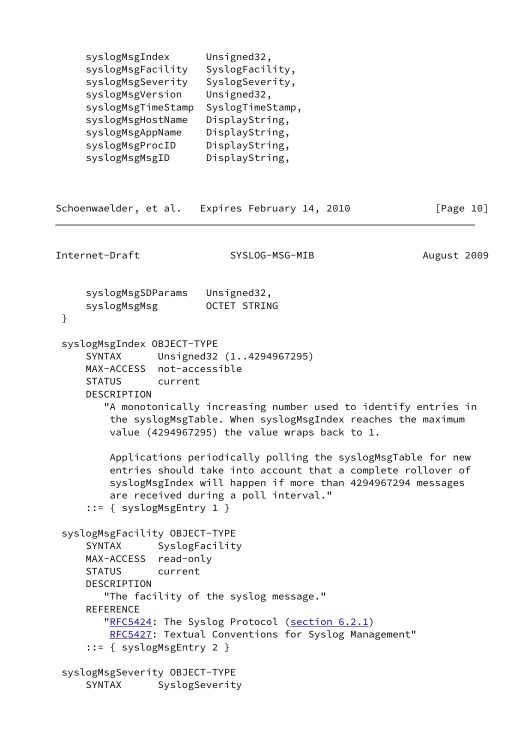| syslogMsgIndex     | Unsigned32,      |
|--------------------|------------------|
| syslogMsgFacility  | SyslogFacility,  |
| syslogMsgSeverity  | SyslogSeverity,  |
| syslogMsgVersion   | Unsigned32,      |
| syslogMsgTimeStamp | SyslogTimeStamp, |
| syslogMsgHostName  | DisplayString,   |
| syslogMsgAppName   | DisplayString,   |
| syslogMsgProcID    | DisplayString,   |
| syslogMsgMsgID     | DisplayString,   |
|                    |                  |

```
Schoenwaelder, et al. Expires February 14, 2010 [Page 10]
Internet-Draft SYSLOG-MSG-MIB August 2009
     syslogMsgSDParams Unsigned32,
    syslogMsgMsg OCTET STRING
  }
  syslogMsgIndex OBJECT-TYPE
     SYNTAX Unsigned32 (1..4294967295)
     MAX-ACCESS not-accessible
     STATUS current
     DESCRIPTION
        "A monotonically increasing number used to identify entries in
         the syslogMsgTable. When syslogMsgIndex reaches the maximum
         value (4294967295) the value wraps back to 1.
         Applications periodically polling the syslogMsgTable for new
         entries should take into account that a complete rollover of
         syslogMsgIndex will happen if more than 4294967294 messages
         are received during a poll interval."
      ::= { syslogMsgEntry 1 }
  syslogMsgFacility OBJECT-TYPE
     SYNTAX SyslogFacility
     MAX-ACCESS read-only
     STATUS current
     DESCRIPTION
        "The facility of the syslog message."
     REFERENCE
       "RFC5424: The Syslog Protocol (section 6.2.1)
         RFC5427: Textual Conventions for Syslog Management"
      ::= { syslogMsgEntry 2 }
  syslogMsgSeverity OBJECT-TYPE
     SYNTAX SyslogSeverity
```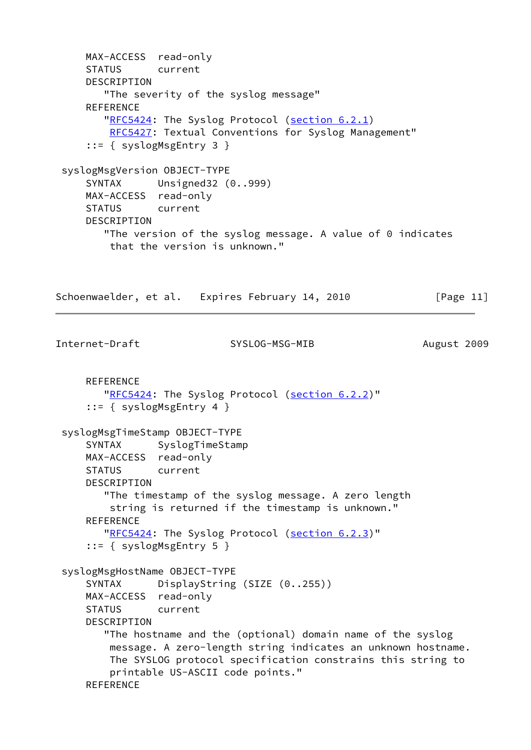```
 MAX-ACCESS read-only
     STATUS current
     DESCRIPTION
         "The severity of the syslog message"
    REFERENCE
        "RFC5424: The Syslog Protocol (section 6.2.1)
         RFC5427: Textual Conventions for Syslog Management"
      ::= { syslogMsgEntry 3 }
  syslogMsgVersion OBJECT-TYPE
     SYNTAX Unsigned32 (0..999)
     MAX-ACCESS read-only
     STATUS current
     DESCRIPTION
        "The version of the syslog message. A value of 0 indicates
         that the version is unknown."
Schoenwaelder, et al. Expires February 14, 2010 [Page 11]
Internet-Draft SYSLOG-MSG-MIB August 2009
     REFERENCE
       "RFC5424: The Syslog Protocol (section 6.2.2)"
      ::= { syslogMsgEntry 4 }
  syslogMsgTimeStamp OBJECT-TYPE
      SYNTAX SyslogTimeStamp
     MAX-ACCESS read-only
     STATUS current
     DESCRIPTION
         "The timestamp of the syslog message. A zero length
         string is returned if the timestamp is unknown."
     REFERENCE
       "RFC5424: The Syslog Protocol (section 6.2.3)"
      ::= { syslogMsgEntry 5 }
  syslogMsgHostName OBJECT-TYPE
     SYNTAX DisplayString (SIZE (0..255))
     MAX-ACCESS read-only
     STATUS current
     DESCRIPTION
        "The hostname and the (optional) domain name of the syslog
         message. A zero-length string indicates an unknown hostname.
         The SYSLOG protocol specification constrains this string to
         printable US-ASCII code points."
    REFERENCE
```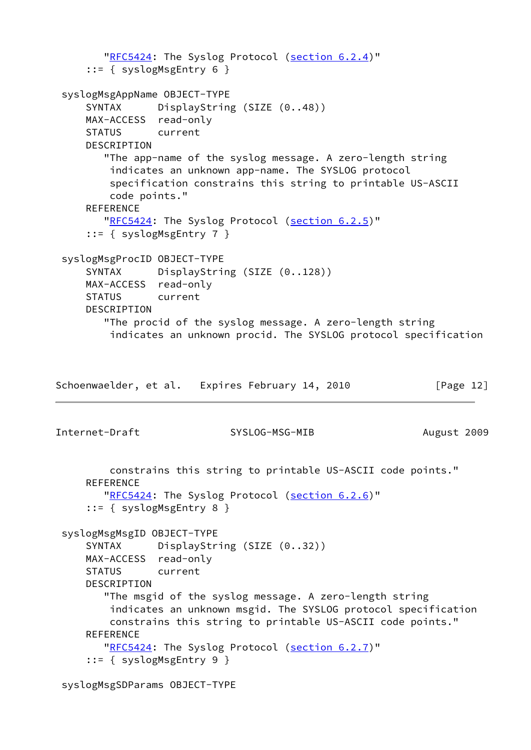```
 "RFC5424: The Syslog Protocol (section 6.2.4)"
      ::= { syslogMsgEntry 6 }
  syslogMsgAppName OBJECT-TYPE
     SYNTAX DisplayString (SIZE (0..48))
     MAX-ACCESS read-only
      STATUS current
     DESCRIPTION
        "The app-name of the syslog message. A zero-length string
         indicates an unknown app-name. The SYSLOG protocol
         specification constrains this string to printable US-ASCII
         code points."
     REFERENCE
       "RFC5424: The Syslog Protocol (section 6.2.5)"
      ::= { syslogMsgEntry 7 }
  syslogMsgProcID OBJECT-TYPE
     SYNTAX DisplayString (SIZE (0..128))
     MAX-ACCESS read-only
     STATUS current
     DESCRIPTION
         "The procid of the syslog message. A zero-length string
         indicates an unknown procid. The SYSLOG protocol specification
Schoenwaelder, et al. Expires February 14, 2010 [Page 12]
Internet-Draft SYSLOG-MSG-MIB August 2009
         constrains this string to printable US-ASCII code points."
    REFERENCE
       "RFC5424: The Syslog Protocol (section 6.2.6)"
      ::= { syslogMsgEntry 8 }
  syslogMsgMsgID OBJECT-TYPE
     SYNTAX DisplayString (SIZE (0..32))
     MAX-ACCESS read-only
     STATUS current
     DESCRIPTION
         "The msgid of the syslog message. A zero-length string
         indicates an unknown msgid. The SYSLOG protocol specification
         constrains this string to printable US-ASCII code points."
    REFERENCE
       "RFC5424: The Syslog Protocol (section 6.2.7)"
      ::= { syslogMsgEntry 9 }
```

```
 syslogMsgSDParams OBJECT-TYPE
```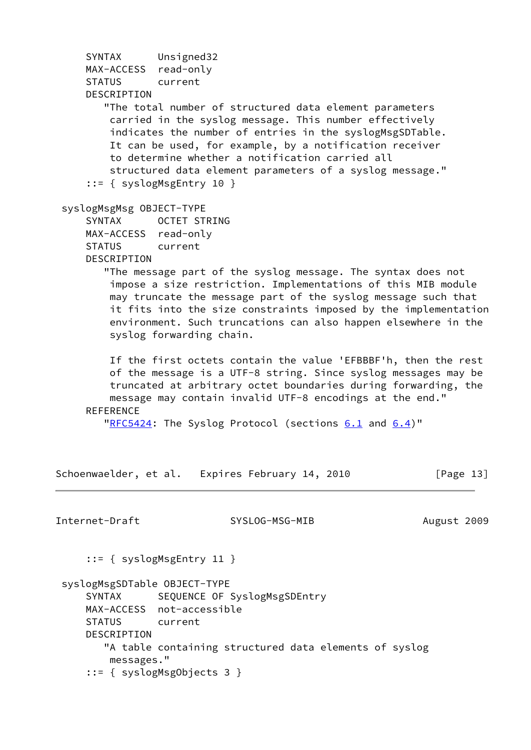SYNTAX Unsigned32 MAX-ACCESS read-only STATUS current DESCRIPTION "The total number of structured data element parameters carried in the syslog message. This number effectively indicates the number of entries in the syslogMsgSDTable. It can be used, for example, by a notification receiver to determine whether a notification carried all structured data element parameters of a syslog message." ::= { syslogMsgEntry 10 } syslogMsgMsg OBJECT-TYPE SYNTAX OCTET STRING MAX-ACCESS read-only STATUS current DESCRIPTION "The message part of the syslog message. The syntax does not impose a size restriction. Implementations of this MIB module may truncate the message part of the syslog message such that it fits into the size constraints imposed by the implementation environment. Such truncations can also happen elsewhere in the syslog forwarding chain. If the first octets contain the value 'EFBBBF'h, then the rest of the message is a UTF-8 string. Since syslog messages may be truncated at arbitrary octet boundaries during forwarding, the message may contain invalid UTF-8 encodings at the end." REFERENCE ["RFC5424](https://datatracker.ietf.org/doc/pdf/rfc5424): The Syslog Protocol (sections  $6.1$  and  $6.4$ )" Schoenwaelder, et al. Expires February 14, 2010 [Page 13] Internet-Draft SYSLOG-MSG-MIB August 2009 ::= { syslogMsgEntry 11 } syslogMsgSDTable OBJECT-TYPE SYNTAX SEQUENCE OF SyslogMsgSDEntry MAX-ACCESS not-accessible STATUS current DESCRIPTION "A table containing structured data elements of syslog messages." ::= { syslogMsgObjects 3 }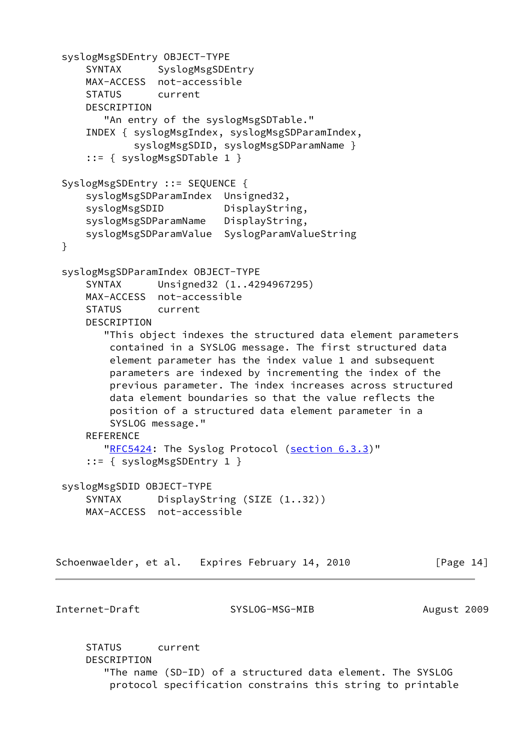```
 syslogMsgSDEntry OBJECT-TYPE
    SYNTAX SyslogMsgSDEntry
     MAX-ACCESS not-accessible
     STATUS current
     DESCRIPTION
       "An entry of the syslogMsgSDTable."
     INDEX { syslogMsgIndex, syslogMsgSDParamIndex,
             syslogMsgSDID, syslogMsgSDParamName }
     ::= { syslogMsgSDTable 1 }
 SyslogMsgSDEntry ::= SEQUENCE {
     syslogMsgSDParamIndex Unsigned32,
    syslogMsgSDID DisplayString,
     syslogMsgSDParamName DisplayString,
     syslogMsgSDParamValue SyslogParamValueString
 }
 syslogMsgSDParamIndex OBJECT-TYPE
     SYNTAX Unsigned32 (1..4294967295)
     MAX-ACCESS not-accessible
     STATUS current
     DESCRIPTION
        "This object indexes the structured data element parameters
         contained in a SYSLOG message. The first structured data
         element parameter has the index value 1 and subsequent
         parameters are indexed by incrementing the index of the
         previous parameter. The index increases across structured
         data element boundaries so that the value reflects the
         position of a structured data element parameter in a
         SYSLOG message."
     REFERENCE
        "RFC5424: The Syslog Protocol (section 6.3.3)"
     ::= { syslogMsgSDEntry 1 }
 syslogMsgSDID OBJECT-TYPE
    SYNTAX DisplayString (SIZE (1..32))
     MAX-ACCESS not-accessible
Schoenwaelder, et al. Expires February 14, 2010 [Page 14]
Internet-Draft SYSLOG-MSG-MIB August 2009
     STATUS current
     DESCRIPTION
```
 "The name (SD-ID) of a structured data element. The SYSLOG protocol specification constrains this string to printable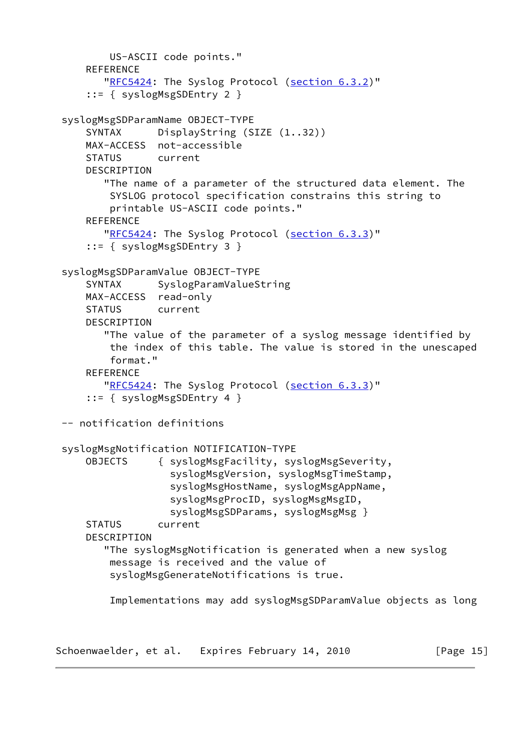```
 US-ASCII code points."
   REFERENCE
        "RFC5424: The Syslog Protocol (section 6.3.2)"
     ::= { syslogMsgSDEntry 2 }
 syslogMsgSDParamName OBJECT-TYPE
    SYNTAX DisplayString (SIZE (1..32))
    MAX-ACCESS not-accessible
    STATUS current
   DESCRIPTION
        "The name of a parameter of the structured data element. The
         SYSLOG protocol specification constrains this string to
         printable US-ASCII code points."
   REFERENCE
       "RFC5424: The Syslog Protocol (section 6.3.3)"
     ::= { syslogMsgSDEntry 3 }
 syslogMsgSDParamValue OBJECT-TYPE
     SYNTAX SyslogParamValueString
    MAX-ACCESS read-only
    STATUS current
    DESCRIPTION
        "The value of the parameter of a syslog message identified by
         the index of this table. The value is stored in the unescaped
         format."
     REFERENCE
       "RFC5424: The Syslog Protocol (section 6.3.3)"
     ::= { syslogMsgSDEntry 4 }
 -- notification definitions
 syslogMsgNotification NOTIFICATION-TYPE
    OBJECTS { syslogMsgFacility, syslogMsgSeverity,
                   syslogMsgVersion, syslogMsgTimeStamp,
                   syslogMsgHostName, syslogMsgAppName,
                   syslogMsgProcID, syslogMsgMsgID,
                  syslogMsgSDParams, syslogMsgMsg }
     STATUS current
     DESCRIPTION
        "The syslogMsgNotification is generated when a new syslog
         message is received and the value of
         syslogMsgGenerateNotifications is true.
         Implementations may add syslogMsgSDParamValue objects as long
```
Schoenwaelder, et al. Expires February 14, 2010 [Page 15]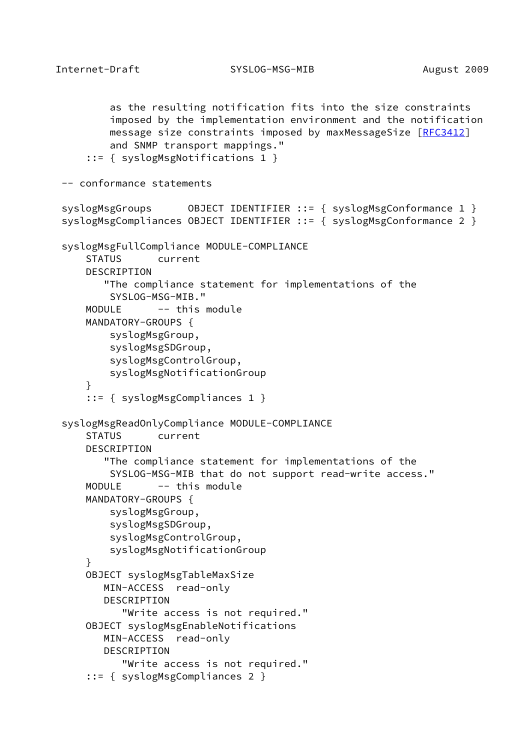Internet-Draft SYSLOG-MSG-MIB August 2009

```
 as the resulting notification fits into the size constraints
         imposed by the implementation environment and the notification
         message size constraints imposed by maxMessageSize [RFC3412]
         and SNMP transport mappings."
     ::= { syslogMsgNotifications 1 }
 -- conformance statements
syslogMsgGroups 0BJECT IDENTIFIER ::= { syslogMsgConformance 1 }
syslogMsgCompliances OBJECT IDENTIFIER ::= { syslogMsgConformance 2 }
 syslogMsgFullCompliance MODULE-COMPLIANCE
     STATUS current
     DESCRIPTION
        "The compliance statement for implementations of the
         SYSLOG-MSG-MIB."
    MODULE -- this module
     MANDATORY-GROUPS {
         syslogMsgGroup,
         syslogMsgSDGroup,
         syslogMsgControlGroup,
         syslogMsgNotificationGroup
     }
     ::= { syslogMsgCompliances 1 }
 syslogMsgReadOnlyCompliance MODULE-COMPLIANCE
     STATUS current
     DESCRIPTION
        "The compliance statement for implementations of the
         SYSLOG-MSG-MIB that do not support read-write access."
    MODULE -- this module
     MANDATORY-GROUPS {
         syslogMsgGroup,
         syslogMsgSDGroup,
         syslogMsgControlGroup,
         syslogMsgNotificationGroup
     }
     OBJECT syslogMsgTableMaxSize
        MIN-ACCESS read-only
        DESCRIPTION
           "Write access is not required."
     OBJECT syslogMsgEnableNotifications
        MIN-ACCESS read-only
        DESCRIPTION
           "Write access is not required."
     ::= { syslogMsgCompliances 2 }
```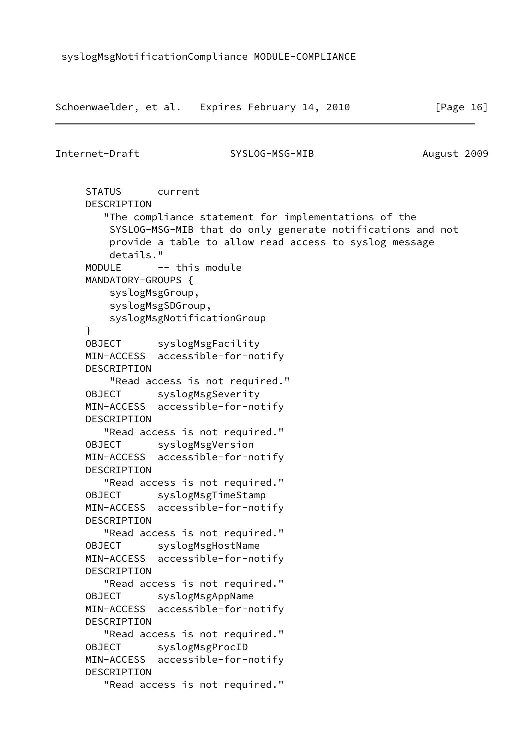```
Schoenwaelder, et al. Expires February 14, 2010 [Page 16]
Internet-Draft SYSLOG-MSG-MIB August 2009
     STATUS current
     DESCRIPTION
        "The compliance statement for implementations of the
         SYSLOG-MSG-MIB that do only generate notifications and not
         provide a table to allow read access to syslog message
         details."
    MODULE -- this module
     MANDATORY-GROUPS {
         syslogMsgGroup,
         syslogMsgSDGroup,
         syslogMsgNotificationGroup
     }
     OBJECT syslogMsgFacility
     MIN-ACCESS accessible-for-notify
     DESCRIPTION
         "Read access is not required."
    OBJECT syslogMsgSeverity
     MIN-ACCESS accessible-for-notify
     DESCRIPTION
        "Read access is not required."
     OBJECT syslogMsgVersion
     MIN-ACCESS accessible-for-notify
     DESCRIPTION
        "Read access is not required."
    OBJECT syslogMsgTimeStamp
     MIN-ACCESS accessible-for-notify
     DESCRIPTION
        "Read access is not required."
    OBJECT syslogMsgHostName
     MIN-ACCESS accessible-for-notify
     DESCRIPTION
        "Read access is not required."
     OBJECT syslogMsgAppName
     MIN-ACCESS accessible-for-notify
     DESCRIPTION
        "Read access is not required."
     OBJECT syslogMsgProcID
     MIN-ACCESS accessible-for-notify
     DESCRIPTION
        "Read access is not required."
```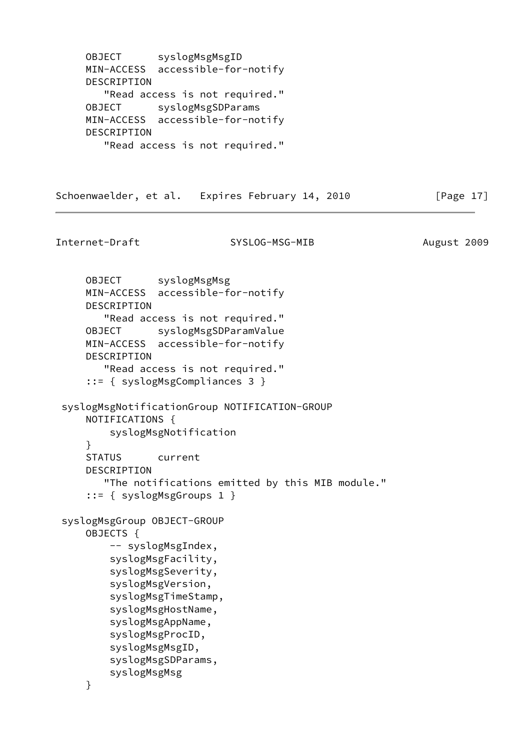OBJECT syslogMsgMsgID MIN-ACCESS accessible-for-notify DESCRIPTION "Read access is not required." OBJECT syslogMsgSDParams MIN-ACCESS accessible-for-notify DESCRIPTION "Read access is not required."

Schoenwaelder, et al. Expires February 14, 2010 [Page 17]

Internet-Draft SYSLOG-MSG-MIB August 2009 OBJECT syslogMsgMsg MIN-ACCESS accessible-for-notify DESCRIPTION "Read access is not required." OBJECT syslogMsgSDParamValue MIN-ACCESS accessible-for-notify DESCRIPTION "Read access is not required." ::= { syslogMsgCompliances 3 } syslogMsgNotificationGroup NOTIFICATION-GROUP NOTIFICATIONS { syslogMsgNotification } STATUS current DESCRIPTION "The notifications emitted by this MIB module." ::= { syslogMsgGroups 1 } syslogMsgGroup OBJECT-GROUP OBJECTS { -- syslogMsgIndex, syslogMsgFacility, syslogMsgSeverity, syslogMsgVersion, syslogMsgTimeStamp, syslogMsgHostName, syslogMsgAppName, syslogMsgProcID, syslogMsgMsgID, syslogMsgSDParams, syslogMsgMsg }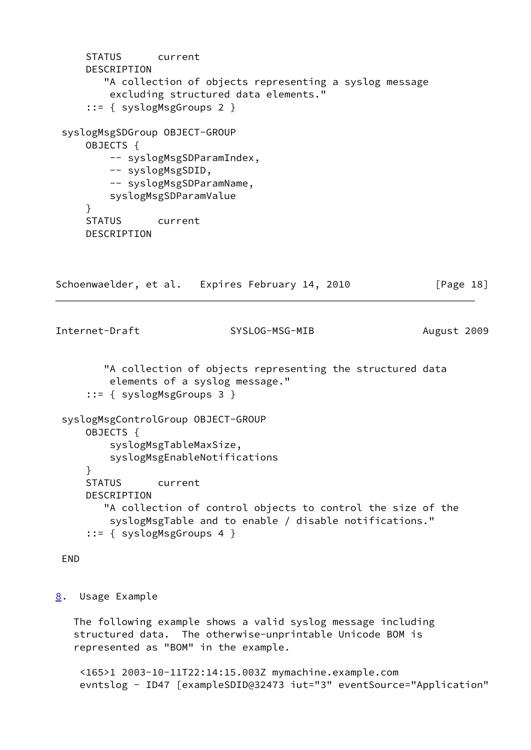```
 STATUS current
     DESCRIPTION
        "A collection of objects representing a syslog message
         excluding structured data elements."
      ::= { syslogMsgGroups 2 }
  syslogMsgSDGroup OBJECT-GROUP
     OBJECTS {
        -- syslogMsgSDParamIndex,
        -- syslogMsgSDID,
        -- syslogMsgSDParamName,
         syslogMsgSDParamValue
      }
     STATUS current
     DESCRIPTION
Schoenwaelder, et al. Expires February 14, 2010 [Page 18]
Internet-Draft SYSLOG-MSG-MIB August 2009
        "A collection of objects representing the structured data
         elements of a syslog message."
      ::= { syslogMsgGroups 3 }
  syslogMsgControlGroup OBJECT-GROUP
     OBJECTS {
         syslogMsgTableMaxSize,
         syslogMsgEnableNotifications
      }
     STATUS current
     DESCRIPTION
         "A collection of control objects to control the size of the
         syslogMsgTable and to enable / disable notifications."
      ::= { syslogMsgGroups 4 }
 END
8. Usage Example
   The following example shows a valid syslog message including
```
<span id="page-20-0"></span> structured data. The otherwise-unprintable Unicode BOM is represented as "BOM" in the example.

 <165>1 2003-10-11T22:14:15.003Z mymachine.example.com evntslog - ID47 [exampleSDID@32473 iut="3" eventSource="Application"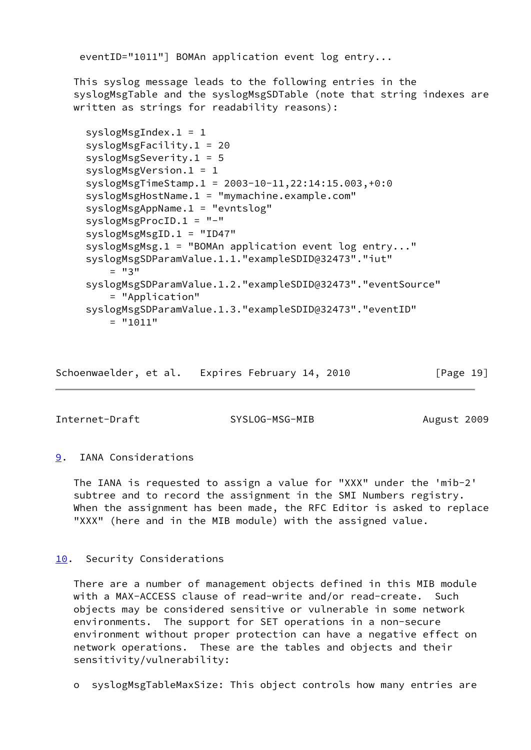eventID="1011"] BOMAn application event log entry...

 This syslog message leads to the following entries in the syslogMsgTable and the syslogMsgSDTable (note that string indexes are written as strings for readability reasons):

```
 syslogMsgIndex.1 = 1
 syslogMsgFacility.1 = 20
 syslogMsgSeverity.1 = 5
 syslogMsgVersion.1 = 1
 syslogMsgTimeStamp.1 = 2003-10-11,22:14:15.003,+0:0
 syslogMsgHostName.1 = "mymachine.example.com"
 syslogMsgAppName.1 = "evntslog"
 syslogMsgProcID.1 = "-"
 syslogMsgMsgID.1 = "ID47"
 syslogMsgMsg.1 = "BOMAn application event log entry..."
 syslogMsgSDParamValue.1.1."exampleSDID@32473"."iut"
    = "3"
 syslogMsgSDParamValue.1.2."exampleSDID@32473"."eventSource"
     = "Application"
 syslogMsgSDParamValue.1.3."exampleSDID@32473"."eventID"
    = "1011"
```
Schoenwaelder, et al. Expires February 14, 2010 [Page 19]

<span id="page-21-1"></span>Internet-Draft SYSLOG-MSG-MIB August 2009

## <span id="page-21-0"></span>[9](#page-21-0). IANA Considerations

 The IANA is requested to assign a value for "XXX" under the 'mib-2' subtree and to record the assignment in the SMI Numbers registry. When the assignment has been made, the RFC Editor is asked to replace "XXX" (here and in the MIB module) with the assigned value.

#### <span id="page-21-2"></span>[10.](#page-21-2) Security Considerations

 There are a number of management objects defined in this MIB module with a MAX-ACCESS clause of read-write and/or read-create. Such objects may be considered sensitive or vulnerable in some network environments. The support for SET operations in a non-secure environment without proper protection can have a negative effect on network operations. These are the tables and objects and their sensitivity/vulnerability:

o syslogMsgTableMaxSize: This object controls how many entries are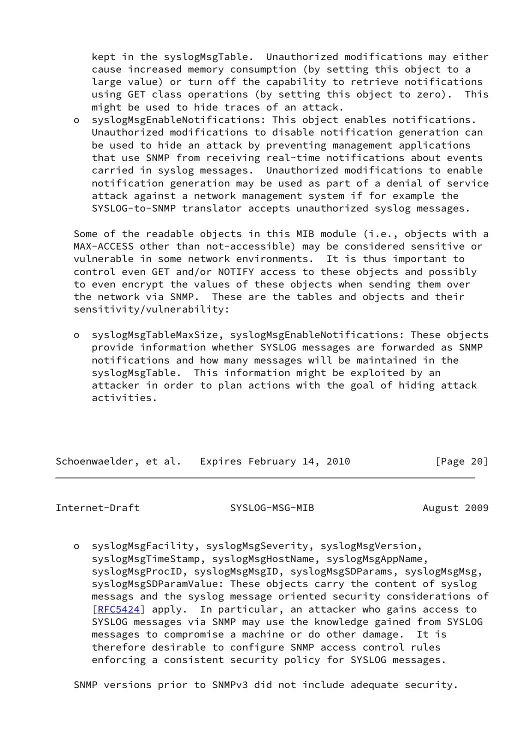kept in the syslogMsgTable. Unauthorized modifications may either cause increased memory consumption (by setting this object to a large value) or turn off the capability to retrieve notifications using GET class operations (by setting this object to zero). This might be used to hide traces of an attack.

 o syslogMsgEnableNotifications: This object enables notifications. Unauthorized modifications to disable notification generation can be used to hide an attack by preventing management applications that use SNMP from receiving real-time notifications about events carried in syslog messages. Unauthorized modifications to enable notification generation may be used as part of a denial of service attack against a network management system if for example the SYSLOG-to-SNMP translator accepts unauthorized syslog messages.

 Some of the readable objects in this MIB module (i.e., objects with a MAX-ACCESS other than not-accessible) may be considered sensitive or vulnerable in some network environments. It is thus important to control even GET and/or NOTIFY access to these objects and possibly to even encrypt the values of these objects when sending them over the network via SNMP. These are the tables and objects and their sensitivity/vulnerability:

 o syslogMsgTableMaxSize, syslogMsgEnableNotifications: These objects provide information whether SYSLOG messages are forwarded as SNMP notifications and how many messages will be maintained in the syslogMsgTable. This information might be exploited by an attacker in order to plan actions with the goal of hiding attack activities.

Schoenwaelder, et al. Expires February 14, 2010 [Page 20]

<span id="page-22-0"></span>Internet-Draft SYSLOG-MSG-MIB August 2009

 o syslogMsgFacility, syslogMsgSeverity, syslogMsgVersion, syslogMsgTimeStamp, syslogMsgHostName, syslogMsgAppName, syslogMsgProcID, syslogMsgMsgID, syslogMsgSDParams, syslogMsgMsg, syslogMsgSDParamValue: These objects carry the content of syslog messags and the syslog message oriented security considerations of [[RFC5424\]](https://datatracker.ietf.org/doc/pdf/rfc5424) apply. In particular, an attacker who gains access to SYSLOG messages via SNMP may use the knowledge gained from SYSLOG messages to compromise a machine or do other damage. It is therefore desirable to configure SNMP access control rules enforcing a consistent security policy for SYSLOG messages.

SNMP versions prior to SNMPv3 did not include adequate security.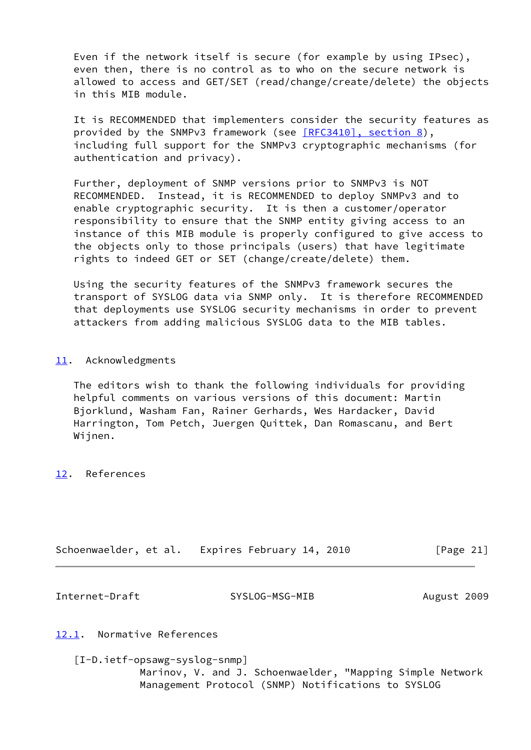Even if the network itself is secure (for example by using IPsec), even then, there is no control as to who on the secure network is allowed to access and GET/SET (read/change/create/delete) the objects in this MIB module.

 It is RECOMMENDED that implementers consider the security features as provided by the SNMPv3 framework (see [\[RFC3410\], section](https://datatracker.ietf.org/doc/pdf/rfc3410#section-8) 8), including full support for the SNMPv3 cryptographic mechanisms (for authentication and privacy).

 Further, deployment of SNMP versions prior to SNMPv3 is NOT RECOMMENDED. Instead, it is RECOMMENDED to deploy SNMPv3 and to enable cryptographic security. It is then a customer/operator responsibility to ensure that the SNMP entity giving access to an instance of this MIB module is properly configured to give access to the objects only to those principals (users) that have legitimate rights to indeed GET or SET (change/create/delete) them.

 Using the security features of the SNMPv3 framework secures the transport of SYSLOG data via SNMP only. It is therefore RECOMMENDED that deployments use SYSLOG security mechanisms in order to prevent attackers from adding malicious SYSLOG data to the MIB tables.

## <span id="page-23-0"></span>[11.](#page-23-0) Acknowledgments

 The editors wish to thank the following individuals for providing helpful comments on various versions of this document: Martin Bjorklund, Washam Fan, Rainer Gerhards, Wes Hardacker, David Harrington, Tom Petch, Juergen Quittek, Dan Romascanu, and Bert Wijnen.

<span id="page-23-1"></span>[12.](#page-23-1) References

|  | Schoenwaelder, et al. Expires February 14, 2010 | [Page 21] |
|--|-------------------------------------------------|-----------|
|--|-------------------------------------------------|-----------|

<span id="page-23-2"></span>Internet-Draft SYSLOG-MSG-MIB August 2009

#### <span id="page-23-3"></span>[12.1](#page-23-3). Normative References

<span id="page-23-4"></span> [I-D.ietf-opsawg-syslog-snmp] Marinov, V. and J. Schoenwaelder, "Mapping Simple Network Management Protocol (SNMP) Notifications to SYSLOG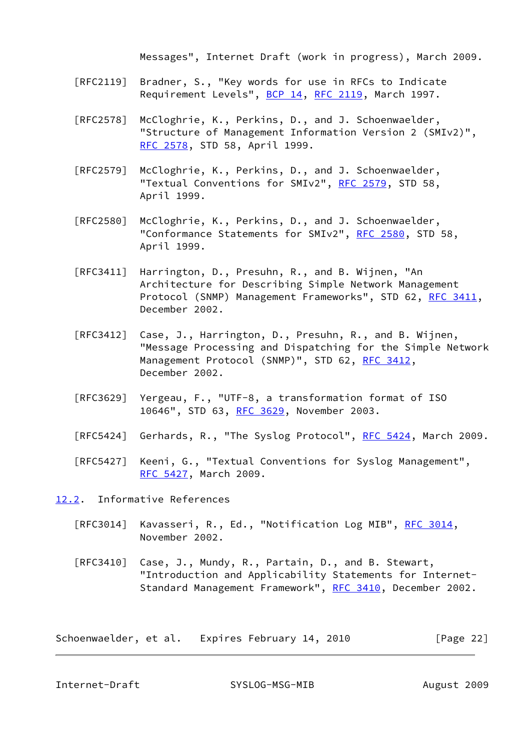Messages", Internet Draft (work in progress), March 2009.

- [RFC2119] Bradner, S., "Key words for use in RFCs to Indicate Requirement Levels", [BCP 14](https://datatracker.ietf.org/doc/pdf/bcp14), [RFC 2119](https://datatracker.ietf.org/doc/pdf/rfc2119), March 1997.
- [RFC2578] McCloghrie, K., Perkins, D., and J. Schoenwaelder, "Structure of Management Information Version 2 (SMIv2)", [RFC 2578,](https://datatracker.ietf.org/doc/pdf/rfc2578) STD 58, April 1999.
- [RFC2579] McCloghrie, K., Perkins, D., and J. Schoenwaelder, "Textual Conventions for SMIv2", [RFC 2579,](https://datatracker.ietf.org/doc/pdf/rfc2579) STD 58, April 1999.
- [RFC2580] McCloghrie, K., Perkins, D., and J. Schoenwaelder, "Conformance Statements for SMIv2", [RFC 2580,](https://datatracker.ietf.org/doc/pdf/rfc2580) STD 58, April 1999.
- [RFC3411] Harrington, D., Presuhn, R., and B. Wijnen, "An Architecture for Describing Simple Network Management Protocol (SNMP) Management Frameworks", STD 62, [RFC 3411,](https://datatracker.ietf.org/doc/pdf/rfc3411) December 2002.
- [RFC3412] Case, J., Harrington, D., Presuhn, R., and B. Wijnen, "Message Processing and Dispatching for the Simple Network Management Protocol (SNMP)", STD 62, [RFC 3412](https://datatracker.ietf.org/doc/pdf/rfc3412), December 2002.
- [RFC3629] Yergeau, F., "UTF-8, a transformation format of ISO 10646", STD 63, [RFC 3629,](https://datatracker.ietf.org/doc/pdf/rfc3629) November 2003.
- [RFC5424] Gerhards, R., "The Syslog Protocol", [RFC 5424](https://datatracker.ietf.org/doc/pdf/rfc5424), March 2009.
- [RFC5427] Keeni, G., "Textual Conventions for Syslog Management", [RFC 5427,](https://datatracker.ietf.org/doc/pdf/rfc5427) March 2009.

<span id="page-24-0"></span>[12.2](#page-24-0). Informative References

- [RFC3014] Kavasseri, R., Ed., "Notification Log MIB", [RFC 3014,](https://datatracker.ietf.org/doc/pdf/rfc3014) November 2002.
- [RFC3410] Case, J., Mundy, R., Partain, D., and B. Stewart, "Introduction and Applicability Statements for Internet- Standard Management Framework", [RFC 3410,](https://datatracker.ietf.org/doc/pdf/rfc3410) December 2002.

Schoenwaelder, et al. Expires February 14, 2010 [Page 22]

<span id="page-24-1"></span>Internet-Draft SYSLOG-MSG-MIB August 2009